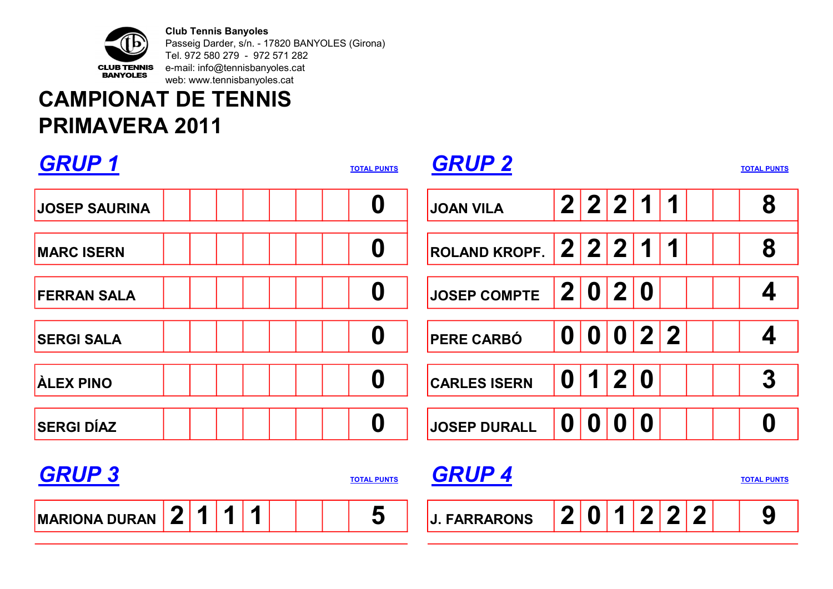

Club Tennis Banyoles Passeig Darder, s/n. - 17820 BANYOLES (Girona) Tel. 972 580 279 - 972 571 282 e-mail: info@tennisbanyoles.cat web: www.tennisbanyoles.cat

## CAMPIONAT DE TENNIS PRIMAVERA 2011

| <b>GRUP1</b>                                        | <b>TOTAL PUNTS</b> | <b>GRUP 2</b>        |                  |                  |                  |                  |                         |             | <b>TOTAL PUNTS</b> |
|-----------------------------------------------------|--------------------|----------------------|------------------|------------------|------------------|------------------|-------------------------|-------------|--------------------|
| <b>JOSEP SAURINA</b>                                | $\boldsymbol{0}$   | <b>JOAN VILA</b>     | $\mathbf{2}$     | 2                | $\mathbf{2}$     | $\mathbf 1$      | 1                       |             | 8                  |
| <b>MARC ISERN</b>                                   | $\boldsymbol{0}$   | <b>ROLAND KROPF.</b> | $\overline{2}$   | $\mathbf{2}$     | $\mathbf{2}$     | 1                | 1                       |             | 8                  |
| <b>FERRAN SALA</b>                                  | $\boldsymbol{0}$   | <b>JOSEP COMPTE</b>  | $\mathbf{2}$     | $\boldsymbol{0}$ | $\mathbf{2}$     | $\boldsymbol{0}$ |                         |             | 4                  |
| <b>SERGI SALA</b>                                   | $\boldsymbol{0}$   | <b>PERE CARBÓ</b>    | $\boldsymbol{0}$ | $\boldsymbol{0}$ | $\boldsymbol{0}$ | $\overline{2}$   | $\overline{2}$          |             | 4                  |
| <b>ALEX PINO</b>                                    | $\boldsymbol{0}$   | <b>CARLES ISERN</b>  | $\boldsymbol{0}$ | 1                | $\overline{2}$   | $\boldsymbol{0}$ |                         |             | $\boldsymbol{3}$   |
| <b>SERGI DÍAZ</b>                                   | $\boldsymbol{0}$   | <b>JOSEP DURALL</b>  | $\boldsymbol{0}$ | $\mathbf 0$      | $\mathbf 0$      | $\boldsymbol{0}$ |                         |             | $\boldsymbol{0}$   |
| <b>GRUP 3</b>                                       | <b>TOTAL PUNTS</b> | <b>GRUP 4</b>        |                  |                  |                  |                  |                         |             | <b>TOTAL PUNTS</b> |
| $\mathbf{2}$<br>1<br>1<br>1<br><b>MARIONA DURAN</b> | 5                  | <b>J. FARRARONS</b>  | $\mathbf 2$      | $\boldsymbol{0}$ | 1                | $\mathbf 2$      | $\overline{\mathbf{2}}$ | $\mathbf 2$ | 9                  |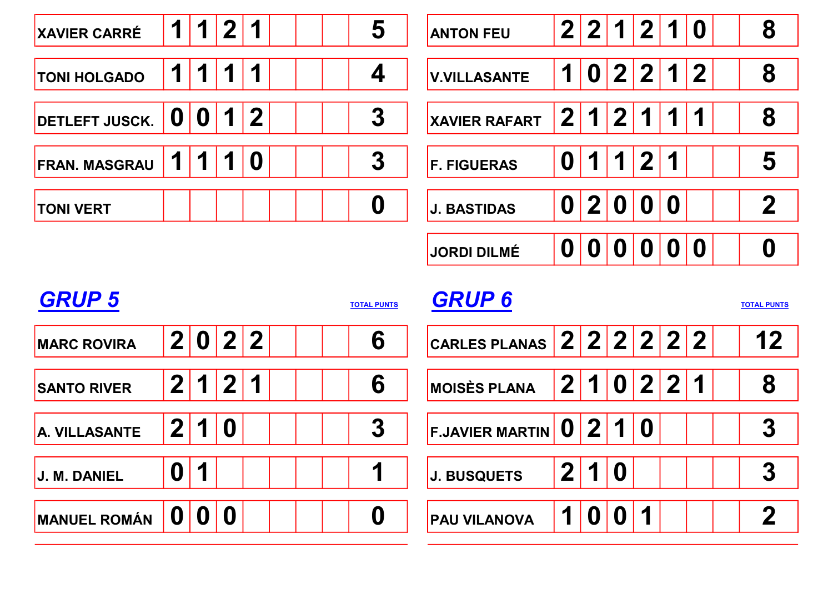

| <b>GRUP 5</b><br><b>TOTAL PUNTS</b> |                |                |                  |                         |  |  |  | <b>GRUP 6</b><br><b>TOTAL PUNTS</b> |                             |              |                  |                  |                                              |              |  |  |                  |
|-------------------------------------|----------------|----------------|------------------|-------------------------|--|--|--|-------------------------------------|-----------------------------|--------------|------------------|------------------|----------------------------------------------|--------------|--|--|------------------|
| <b>MARC ROVIRA</b>                  | $\mathbf{2}$   | 0              |                  | 2 2                     |  |  |  | 6                                   | CARLES PLANAS $2 2 2 2 2 2$ |              |                  |                  |                                              |              |  |  | $12$             |
| <b>SANTO RIVER</b>                  | 2 <sub>1</sub> |                | $\mathbf{2}$     | $\overline{\mathbf{r}}$ |  |  |  | 6                                   | <b>MOISÈS PLANA</b>         | $\mathbf{2}$ | $\overline{1}$   |                  | $\begin{array}{c c c c c} 0 & 2 \end{array}$ | $^{\prime}2$ |  |  | 8                |
| A. VILLASANTE                       | 2 <sub>1</sub> | 1 <sup>1</sup> | $\bf{0}$         |                         |  |  |  | 3                                   | $ F.JAVIER MARTIN$ $ 0 $    |              | $\mathbf{2}$     | 1                |                                              |              |  |  | 3                |
| <b>J. M. DANIEL</b>                 | 0              | 1              |                  |                         |  |  |  |                                     | <b>J. BUSQUETS</b>          | $\mathbf{2}$ | 1                | $\boldsymbol{0}$ |                                              |              |  |  | $\boldsymbol{3}$ |
| <b>MANUEL ROMÁN</b>                 | O              | 0              | $\boldsymbol{0}$ |                         |  |  |  | 0                                   | <b>PAU VILANOVA</b>         |              | $\boldsymbol{0}$ | 0                | $\mathbf{I}$                                 |              |  |  | 2                |